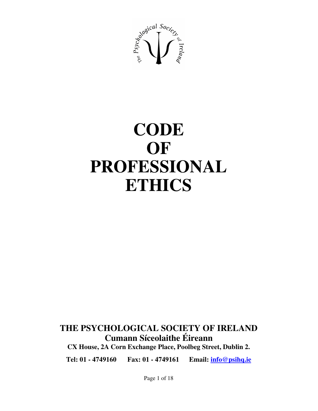

# **CODE OF PROFESSIONAL ETHICS**

# **THE PSYCHOLOGICAL SOCIETY OF IRELAND Cumann Síceolaithe Éireann**

**CX House, 2A Corn Exchange Place, Poolbeg Street, Dublin 2.**

**Tel: 01 - 4749160 Fax: 01 - 4749161 Email: info@psihq.ie**

Page 1 of 18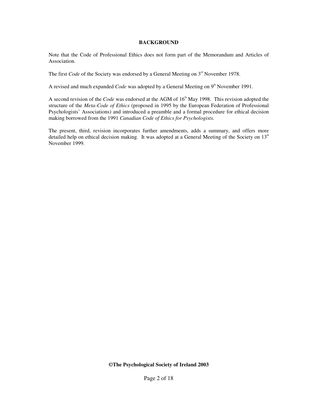#### **BACKGROUND**

Note that the Code of Professional Ethics does not form part of the Memorandum and Articles of Association.

The first *Code* of the Society was endorsed by a General Meeting on  $3<sup>rd</sup>$  November 1978.

A revised and much expanded *Code* was adopted by a General Meeting on 9<sup>th</sup> November 1991.

A second revision of the *Code* was endorsed at the AGM of 16<sup>th</sup> May 1998. This revision adopted the structure of the *Meta-Code of Ethics* (proposed in 1995 by the European Federation of Professional Psychologists' Associations) and introduced a preamble and a formal procedure for ethical decision making borrowed from the 1991 *Canadian Code of Ethics for Psychologists.*

The present, third, revision incorporates further amendments, adds a summary, and offers more detailed help on ethical decision making. It was adopted at a General Meeting of the Society on 13<sup>th</sup> November 1999.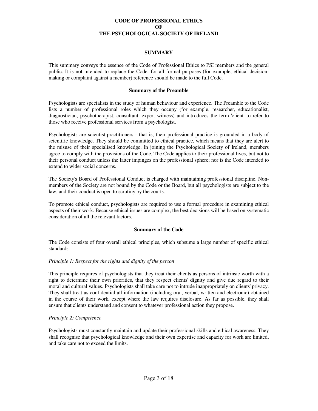#### **CODE OF PROFESSIONAL ETHICS OF THE PSYCHOLOGICAL SOCIETY OF IRELAND**

#### **SUMMARY**

This summary conveys the essence of the Code of Professional Ethics to PSI members and the general public. It is not intended to replace the Code: for all formal purposes (for example, ethical decisionmaking or complaint against a member) reference should be made to the full Code.

#### **Summary of the Preamble**

Psychologists are specialists in the study of human behaviour and experience. The Preamble to the Code lists a number of professional roles which they occupy (for example, researcher, educationalist, diagnostician, psychotherapist, consultant, expert witness) and introduces the term 'client'to refer to those who receive professional services from a psychologist.

Psychologists are scientist-practitioners - that is, their professional practice is grounded in a body of scientific knowledge. They should be committed to ethical practice, which means that they are alert to the misuse of their specialised knowledge. In joining the Psychological Society of Ireland, members agree to comply with the provisions of the Code. The Code applies to their professional lives, but not to their personal conduct unless the latter impinges on the professional sphere; nor is the Code intended to extend to wider social concerns.

The Society's Board of Professional Conduct is charged with maintaining professional discipline. Nonmembers of the Society are not bound by the Code or the Board, but all psychologists are subject to the law, and their conduct is open to scrutiny by the courts.

To promote ethical conduct, psychologists are required to use a formal procedure in examining ethical aspects of their work. Because ethical issues are complex, the best decisions will be based on systematic consideration of all the relevant factors.

# **Summary of the Code**

The Code consists of four overall ethical principles, which subsume a large number of specific ethical standards.

#### *Principle 1: Respect for the rights and dignity of the person*

This principle requires of psychologists that they treat their clients as persons of intrinsic worth with a right to determine their own priorities, that they respect clients'dignity and give due regard to their moral and cultural values. Psychologists shall take care not to intrude inappropriately on clients'privacy. They shall treat as confidential all information (including oral, verbal, written and electronic) obtained in the course of their work, except where the law requires disclosure. As far as possible, they shall ensure that clients understand and consent to whatever professional action they propose.

#### *Principle 2: Competence*

Psychologists must constantly maintain and update their professional skills and ethical awareness. They shall recognise that psychological knowledge and their own expertise and capacity for work are limited, and take care not to exceed the limits.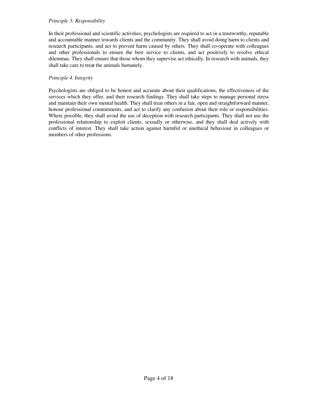#### *Principle 3: Responsibility*

In their professional and scientific activities, psychologists are required to act in a trustworthy, reputable and accountable manner towards clients and the community. They shall avoid doing harm to clients and research participants, and act to prevent harm caused by others. They shall co-operate with colleagues and other professionals to ensure the best service to clients, and act positively to resolve ethical dilemmas. They shall ensure that those whom they supervise act ethically. In research with animals, they shall take care to treat the animals humanely.

# *Principle 4. Integrity*

Psychologists are obliged to be honest and accurate about their qualifications, the effectiveness of the services which they offer, and their research findings. They shall take steps to manage personal stress and maintain their own mental health. They shall treat others in a fair, open and straightforward manner, honour professional commitments, and act to clarify any confusion about their role or responsibilities. Where possible, they shall avoid the use of deception with research participants. They shall not use the professional relationship to exploit clients, sexually or otherwise, and they shall deal actively with conflicts of interest. They shall take action against harmful or unethical behaviour in colleagues or members of other professions.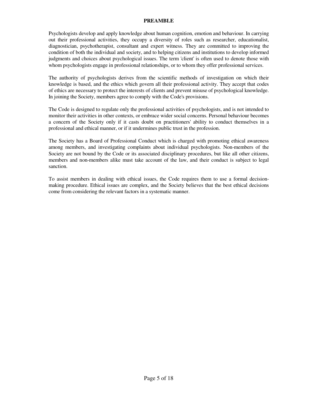#### **PREAMBLE**

Psychologists develop and apply knowledge about human cognition, emotion and behaviour. In carrying out their professional activities, they occupy a diversity of roles such as researcher, educationalist, diagnostician, psychotherapist, consultant and expert witness. They are committed to improving the condition of both the individual and society, and to helping citizens and institutions to develop informed judgments and choices about psychological issues. The term 'client'is often used to denote those with whom psychologists engage in professional relationships, or to whom they offer professional services.

The authority of psychologists derives from the scientific methods of investigation on which their knowledge is based, and the ethics which govern all their professional activity. They accept that codes of ethics are necessary to protect the interests of clients and prevent misuse of psychological knowledge. In joining the Society, members agree to comply with the Code's provisions.

The Code is designed to regulate only the professional activities of psychologists, and is not intended to monitor their activities in other contexts, or embrace wider social concerns. Personal behaviour becomes a concern of the Society only if it casts doubt on practitioners'ability to conduct themselves in a professional and ethical manner, or if it undermines public trust in the profession.

The Society has a Board of Professional Conduct which is charged with promoting ethical awareness among members, and investigating complaints about individual psychologists. Non-members of the Society are not bound by the Code or its associated disciplinary procedures, but like all other citizens, members and non-members alike must take account of the law, and their conduct is subject to legal sanction.

To assist members in dealing with ethical issues, the Code requires them to use a formal decisionmaking procedure. Ethical issues are complex, and the Society believes that the best ethical decisions come from considering the relevant factors in a systematic manner.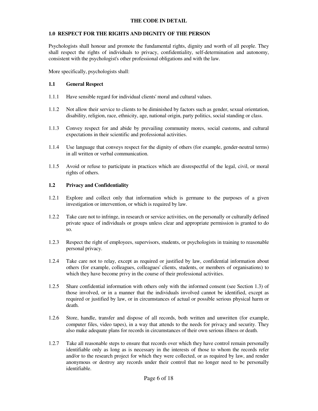#### **THE CODE IN DETAIL**

#### **1.0 RESPECT FOR THE RIGHTS AND DIGNITY OF THE PERSON**

Psychologists shall honour and promote the fundamental rights, dignity and worth of all people. They shall respect the rights of individuals to privacy, confidentiality, self-determination and autonomy, consistent with the psychologist's other professional obligations and with the law.

More specifically, psychologists shall:

#### **1.1 General Respect**

- 1.1.1 Have sensible regard for individual clients'moral and cultural values.
- 1.1.2 Not allow their service to clients to be diminished by factors such as gender, sexual orientation, disability, religion, race, ethnicity, age, national origin, party politics, social standing or class.
- 1.1.3 Convey respect for and abide by prevailing community mores, social customs, and cultural expectations in their scientific and professional activities.
- 1.1.4 Use language that conveys respect for the dignity of others (for example, gender-neutral terms) in all written or verbal communication.
- 1.1.5 Avoid or refuse to participate in practices which are disrespectful of the legal, civil, or moral rights of others.

# **1.2 Privacy and Confidentiality**

- 1.2.1 Explore and collect only that information which is germane to the purposes of a given investigation or intervention, or which is required by law.
- 1.2.2 Take care not to infringe, in research or service activities, on the personally or culturally defined private space of individuals or groups unless clear and appropriate permission is granted to do so.
- 1.2.3 Respect the right of employees, supervisors, students, or psychologists in training to reasonable personal privacy.
- 1.2.4 Take care not to relay, except as required or justified by law, confidential information about others (for example, colleagues, colleagues'clients, students, or members of organisations) to which they have become privy in the course of their professional activities.
- 1.2.5 Share confidential information with others only with the informed consent (see Section 1.3) of those involved, or in a manner that the individuals involved cannot be identified, except as required or justified by law, or in circumstances of actual or possible serious physical harm or death.
- 1.2.6 Store, handle, transfer and dispose of all records, both written and unwritten (for example, computer files, video tapes), in a way that attends to the needs for privacy and security. They also make adequate plans for records in circumstances of their own serious illness or death.
- 1.2.7 Take all reasonable steps to ensure that records over which they have control remain personally identifiable only as long as is necessary in the interests of those to whom the records refer and/or to the research project for which they were collected, or as required by law, and render anonymous or destroy any records under their control that no longer need to be personally identifiable.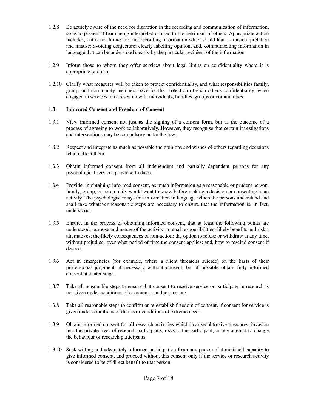- 1.2.8 Be acutely aware of the need for discretion in the recording and communication of information, so as to prevent it from being interpreted or used to the detriment of others. Appropriate action includes, but is not limited to: not recording information which could lead to misinterpretation and misuse; avoiding conjecture; clearly labelling opinion; and, communicating information in language that can be understood clearly by the particular recipient of the information.
- 1.2.9 Inform those to whom they offer services about legal limits on confidentiality where it is appropriate to do so.
- 1.2.10 Clarify what measures will be taken to protect confidentiality, and what responsibilities family, group, and community members have for the protection of each other's confidentiality, when engaged in services to or research with individuals, families, groups or communities.

# **1.3 Informed Consent and Freedom of Consent**

- 1.3.1 View informed consent not just as the signing of a consent form, but as the outcome of a process of agreeing to work collaboratively. However, they recognise that certain investigations and interventions may be compulsory under the law.
- 1.3.2 Respect and integrate as much as possible the opinions and wishes of others regarding decisions which affect them.
- 1.3.3 Obtain informed consent from all independent and partially dependent persons for any psychological services provided to them.
- 1.3.4 Provide, in obtaining informed consent, as much information as a reasonable or prudent person, family, group, or community would want to know before making a decision or consenting to an activity. The psychologist relays this information in language which the persons understand and shall take whatever reasonable steps are necessary to ensure that the information is, in fact, understood.
- 1.3.5 Ensure, in the process of obtaining informed consent, that at least the following points are understood: purpose and nature of the activity; mutual responsibilities; likely benefits and risks; alternatives; the likely consequences of non-action; the option to refuse or withdraw at any time, without prejudice; over what period of time the consent applies; and, how to rescind consent if desired.
- 1.3.6 Act in emergencies (for example, where a client threatens suicide) on the basis of their professional judgment, if necessary without consent, but if possible obtain fully informed consent at a later stage.
- 1.3.7 Take all reasonable steps to ensure that consent to receive service or participate in research is not given under conditions of coercion or undue pressure.
- 1.3.8 Take all reasonable steps to confirm or re-establish freedom of consent, if consent for service is given under conditions of duress or conditions of extreme need.
- 1.3.9 Obtain informed consent for all research activities which involve obtrusive measures, invasion into the private lives of research participants, risks to the participant, or any attempt to change the behaviour of research participants.
- 1.3.10 Seek willing and adequately informed participation from any person of diminished capacity to give informed consent, and proceed without this consent only if the service or research activity is considered to be of direct benefit to that person.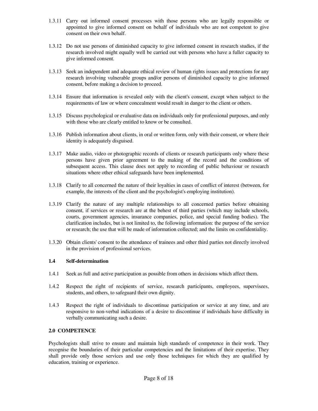- 1.3.11 Carry out informed consent processes with those persons who are legally responsible or appointed to give informed consent on behalf of individuals who are not competent to give consent on their own behalf.
- 1.3.12 Do not use persons of diminished capacity to give informed consent in research studies, if the research involved might equally well be carried out with persons who have a fuller capacity to give informed consent.
- 1.3.13 Seek an independent and adequate ethical review of human rights issues and protections for any research involving vulnerable groups and/or persons of diminished capacity to give informed consent, before making a decision to proceed.
- 1.3.14 Ensure that information is revealed only with the client's consent, except when subject to the requirements of law or where concealment would result in danger to the client or others.
- 1.3.15 Discuss psychological or evaluative data on individuals only for professional purposes, and only with those who are clearly entitled to know or be consulted.
- 1.3.16 Publish information about clients, in oral or written form, only with their consent, or where their identity is adequately disguised.
- 1.3.17 Make audio, video or photographic records of clients or research participants only where these persons have given prior agreement to the making of the record and the conditions of subsequent access. This clause does not apply to recording of public behaviour or research situations where other ethical safeguards have been implemented.
- 1.3.18 Clarify to all concerned the nature of their loyalties in cases of conflict of interest (between, for example, the interests of the client and the psychologist's employing institution).
- 1.3.19 Clarify the nature of any multiple relationships to all concerned parties before obtaining consent, if services or research are at the behest of third parties (which may include schools, courts, government agencies, insurance companies, police, and special funding bodies). The clarification includes, but is not limited to, the following information: the purpose of the service or research; the use that will be made of information collected; and the limits on confidentiality.
- 1.3.20 Obtain clients'consent to the attendance of trainees and other third parties not directly involved in the provision of professional services.

# **1.4 Self-determination**

- 1.4.1 Seek as full and active participation as possible from others in decisions which affect them.
- 1.4.2 Respect the right of recipients of service, research participants, employees, supervisees, students, and others, to safeguard their own dignity.
- 1.4.3 Respect the right of individuals to discontinue participation or service at any time, and are responsive to non-verbal indications of a desire to discontinue if individuals have difficulty in verbally communicating such a desire.

#### **2.0 COMPETENCE**

Psychologists shall strive to ensure and maintain high standards of competence in their work. They recognise the boundaries of their particular competencies and the limitations of their expertise. They shall provide only those services and use only those techniques for which they are qualified by education, training or experience.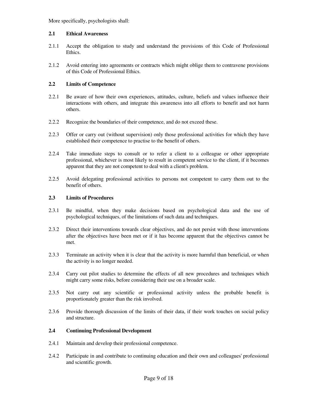More specifically, psychologists shall:

#### **2.1 Ethical Awareness**

- 2.1.1 Accept the obligation to study and understand the provisions of this Code of Professional Ethics.
- 2.1.2 Avoid entering into agreements or contracts which might oblige them to contravene provisions of this Code of Professional Ethics.

# **2.2 Limits of Competence**

- 2.2.1 Be aware of how their own experiences, attitudes, culture, beliefs and values influence their interactions with others, and integrate this awareness into all efforts to benefit and not harm others.
- 2.2.2 Recognize the boundaries of their competence, and do not exceed these.
- 2.2.3 Offer or carry out (without supervision) only those professional activities for which they have established their competence to practise to the benefit of others.
- 2.2.4 Take immediate steps to consult or to refer a client to a colleague or other appropriate professional, whichever is most likely to result in competent service to the client, if it becomes apparent that they are not competent to deal with a client's problem.
- 2.2.5 Avoid delegating professional activities to persons not competent to carry them out to the benefit of others.

#### **2.3 Limits of Procedures**

- 2.3.1 Be mindful, when they make decisions based on psychological data and the use of psychological techniques, of the limitations of such data and techniques.
- 2.3.2 Direct their interventions towards clear objectives, and do not persist with those interventions after the objectives have been met or if it has become apparent that the objectives cannot be met.
- 2.3.3 Terminate an activity when it is clear that the activity is more harmful than beneficial, or when the activity is no longer needed.
- 2.3.4 Carry out pilot studies to determine the effects of all new procedures and techniques which might carry some risks, before considering their use on a broader scale.
- 2.3.5 Not carry out any scientific or professional activity unless the probable benefit is proportionately greater than the risk involved.
- 2.3.6 Provide thorough discussion of the limits of their data, if their work touches on social policy and structure.

# **2.4 Continuing Professional Development**

- 2.4.1 Maintain and develop their professional competence.
- 2.4.2 Participate in and contribute to continuing education and their own and colleagues'professional and scientific growth.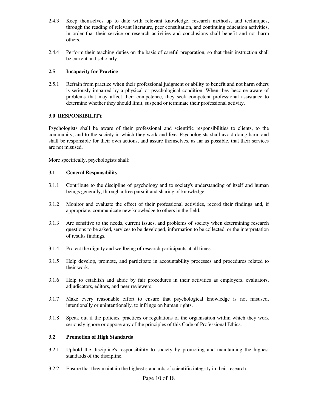- 2.4.3 Keep themselves up to date with relevant knowledge, research methods, and techniques, through the reading of relevant literature, peer consultation, and continuing education activities, in order that their service or research activities and conclusions shall benefit and not harm others.
- 2.4.4 Perform their teaching duties on the basis of careful preparation, so that their instruction shall be current and scholarly.

# **2.5 Incapacity for Practice**

2.5.1 Refrain from practice when their professional judgment or ability to benefit and not harm others is seriously impaired by a physical or psychological condition. When they become aware of problems that may affect their competence, they seek competent professional assistance to determine whether they should limit, suspend or terminate their professional activity.

# **3.0 RESPONSIBILITY**

Psychologists shall be aware of their professional and scientific responsibilities to clients, to the community, and to the society in which they work and live. Psychologists shall avoid doing harm and shall be responsible for their own actions, and assure themselves, as far as possible, that their services are not misused.

More specifically, psychologists shall:

# **3.1 General Responsibility**

- 3.1.1 Contribute to the discipline of psychology and to society's understanding of itself and human beings generally, through a free pursuit and sharing of knowledge.
- 3.1.2 Monitor and evaluate the effect of their professional activities, record their findings and, if appropriate, communicate new knowledge to others in the field.
- 3.1.3 Are sensitive to the needs, current issues, and problems of society when determining research questions to be asked, services to be developed, information to be collected, or the interpretation of results findings.
- 3.1.4 Protect the dignity and wellbeing of research participants at all times.
- 3.1.5 Help develop, promote, and participate in accountability processes and procedures related to their work.
- 3.1.6 Help to establish and abide by fair procedures in their activities as employers, evaluators, adjudicators, editors, and peer reviewers.
- 3.1.7 Make every reasonable effort to ensure that psychological knowledge is not misused, intentionally or unintentionally, to infringe on human rights.
- 3.1.8 Speak out if the policies, practices or regulations of the organisation within which they work seriously ignore or oppose any of the principles of this Code of Professional Ethics.

# **3.2 Promotion of High Standards**

- 3.2.1 Uphold the discipline's responsibility to society by promoting and maintaining the highest standards of the discipline.
- 3.2.2 Ensure that they maintain the highest standards of scientific integrity in their research.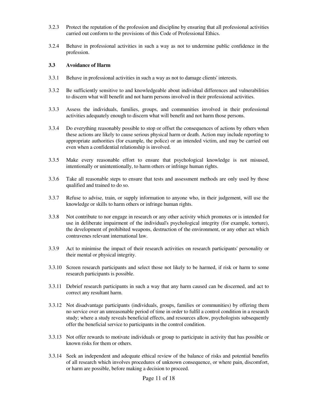- 3.2.3 Protect the reputation of the profession and discipline by ensuring that all professional activities carried out conform to the provisions of this Code of Professional Ethics.
- 3.2.4 Behave in professional activities in such a way as not to undermine public confidence in the profession.

#### **3.3 Avoidance of Harm**

- 3.3.1 Behave in professional activities in such a way as not to damage clients'interests.
- 3.3.2 Be sufficiently sensitive to and knowledgeable about individual differences and vulnerabilities to discern what will benefit and not harm persons involved in their professional activities.
- 3.3.3 Assess the individuals, families, groups, and communities involved in their professional activities adequately enough to discern what will benefit and not harm those persons.
- 3.3.4 Do everything reasonably possible to stop or offset the consequences of actions by others when these actions are likely to cause serious physical harm or death. Action may include reporting to appropriate authorities (for example, the police) or an intended victim, and may be carried out even when a confidential relationship is involved.
- 3.3.5 Make every reasonable effort to ensure that psychological knowledge is not misused, intentionally or unintentionally, to harm others or infringe human rights.
- 3.3.6 Take all reasonable steps to ensure that tests and assessment methods are only used by those qualified and trained to do so.
- 3.3.7 Refuse to advise, train, or supply information to anyone who, in their judgement, will use the knowledge or skills to harm others or infringe human rights.
- 3.3.8 Not contribute to nor engage in research or any other activity which promotes or is intended for use in deliberate impairment of the individual's psychological integrity (for example, torture), the development of prohibited weapons, destruction of the environment, or any other act which contravenes relevant international law.
- 3.3.9 Act to minimise the impact of their research activities on research participants'personality or their mental or physical integrity.
- 3.3.10 Screen research participants and select those not likely to be harmed, if risk or harm to some research participants is possible.
- 3.3.11 Debrief research participants in such a way that any harm caused can be discerned, and act to correct any resultant harm.
- 3.3.12 Not disadvantage participants (individuals, groups, families or communities) by offering them no service over an unreasonable period of time in order to fulfil a control condition in a research study; where a study reveals beneficial effects, and resources allow, psychologists subsequently offer the beneficial service to participants in the control condition.
- 3.3.13 Not offer rewards to motivate individuals or group to participate in activity that has possible or known risks for them or others.
- 3.3.14 Seek an independent and adequate ethical review of the balance of risks and potential benefits of all research which involves procedures of unknown consequence, or where pain, discomfort, or harm are possible, before making a decision to proceed.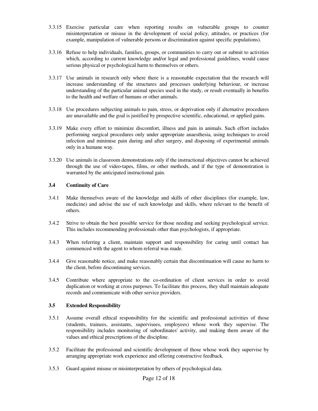- 3.3.15 Exercise particular care when reporting results on vulnerable groups to counter misinterpretation or misuse in the development of social policy, attitudes, or practices (for example, manipulation of vulnerable persons or discrimination against specific populations).
- 3.3.16 Refuse to help individuals, families, groups, or communities to carry out or submit to activities which, according to current knowledge and/or legal and professional guidelines, would cause serious physical or psychological harm to themselves or others.
- 3.3.17 Use animals in research only where there is a reasonable expectation that the research will increase understanding of the structures and processes underlying behaviour, or increase understanding of the particular animal species used in the study, or result eventually in benefits to the health and welfare of humans or other animals.
- 3.3.18 Use procedures subjecting animals to pain, stress, or deprivation only if alternative procedures are unavailable and the goal is justified by prospective scientific, educational, or applied gains.
- 3.3.19 Make every effort to minimize discomfort, illness and pain in animals. Such effort includes performing surgical procedures only under appropriate anaesthesia, using techniques to avoid infection and minimise pain during and after surgery, and disposing of experimental animals only in a humane way.
- 3.3.20 Use animals in classroom demonstrations only if the instructional objectives cannot be achieved through the use of video-tapes, films, or other methods, and if the type of demonstration is warranted by the anticipated instructional gain.

# **3.4 Continuity of Care**

- 3.4.1 Make themselves aware of the knowledge and skills of other disciplines (for example, law, medicine) and advise the use of such knowledge and skills, where relevant to the benefit of others.
- 3.4.2 Strive to obtain the best possible service for those needing and seeking psychological service. This includes recommending professionals other than psychologists, if appropriate.
- 3.4.3 When referring a client, maintain support and responsibility for caring until contact has commenced with the agent to whom referral was made.
- 3.4.4 Give reasonable notice, and make reasonably certain that discontinuation will cause no harm to the client, before discontinuing services.
- 3.4.5 Contribute where appropriate to the co-ordination of client services in order to avoid duplication or working at cross purposes. To facilitate this process, they shall maintain adequate records and communicate with other service providers.

#### **3.5 Extended Responsibility**

- 3.5.1 Assume overall ethical responsibility for the scientific and professional activities of those (students, trainees, assistants, supervisees, employees) whose work they supervise. The responsibility includes monitoring of subordinates'activity, and making them aware of the values and ethical prescriptions of the discipline.
- 3.5.2 Facilitate the professional and scientific development of those whose work they supervise by arranging appropriate work experience and offering constructive feedback.
- 3.5.3 Guard against misuse or misinterpretation by others of psychological data.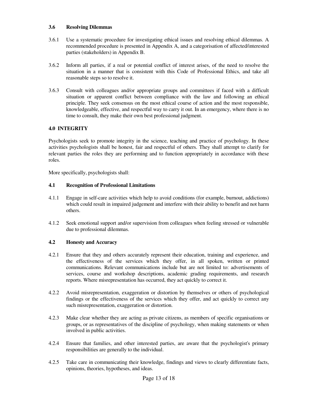#### **3.6 Resolving Dilemmas**

- 3.6.1 Use a systematic procedure for investigating ethical issues and resolving ethical dilemmas. A recommended procedure is presented in Appendix A, and a categorisation of affected/interested parties (stakeholders) in Appendix B.
- 3.6.2 Inform all parties, if a real or potential conflict of interest arises, of the need to resolve the situation in a manner that is consistent with this Code of Professional Ethics, and take all reasonable steps so to resolve it.
- 3.6.3 Consult with colleagues and/or appropriate groups and committees if faced with a difficult situation or apparent conflict between compliance with the law and following an ethical principle. They seek consensus on the most ethical course of action and the most responsible, knowledgeable, effective, and respectful way to carry it out. In an emergency, where there is no time to consult, they make their own best professional judgment.

# **4.0 INTEGRITY**

Psychologists seek to promote integrity in the science, teaching and practice of psychology. In these activities psychologists shall be honest, fair and respectful of others. They shall attempt to clarify for relevant parties the roles they are performing and to function appropriately in accordance with these roles.

More specifically, psychologists shall:

# **4.1 Recognition of Professional Limitations**

- 4.1.1 Engage in self-care activities which help to avoid conditions (for example, burnout, addictions) which could result in impaired judgement and interfere with their ability to benefit and not harm others.
- 4.1.2 Seek emotional support and/or supervision from colleagues when feeling stressed or vulnerable due to professional dilemmas.

# **4.2 Honesty and Accuracy**

- 4.2.1 Ensure that they and others accurately represent their education, training and experience, and the effectiveness of the services which they offer, in all spoken, written or printed communications. Relevant communications include but are not limited to: advertisements of services, course and workshop descriptions, academic grading requirements, and research reports. Where misrepresentation has occurred, they act quickly to correct it.
- 4.2.2 Avoid misrepresentation, exaggeration or distortion by themselves or others of psychological findings or the effectiveness of the services which they offer, and act quickly to correct any such misrepresentation, exaggeration or distortion.
- 4.2.3 Make clear whether they are acting as private citizens, as members of specific organisations or groups, or as representatives of the discipline of psychology, when making statements or when involved in public activities.
- 4.2.4 Ensure that families, and other interested parties, are aware that the psychologist's primary responsibilities are generally to the individual.
- 4.2.5 Take care in communicating their knowledge, findings and views to clearly differentiate facts, opinions, theories, hypotheses, and ideas.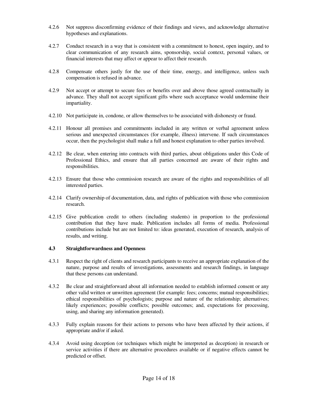- 4.2.6 Not suppress disconfirming evidence of their findings and views, and acknowledge alternative hypotheses and explanations.
- 4.2.7 Conduct research in a way that is consistent with a commitment to honest, open inquiry, and to clear communication of any research aims, sponsorship, social context, personal values, or financial interests that may affect or appear to affect their research.
- 4.2.8 Compensate others justly for the use of their time, energy, and intelligence, unless such compensation is refused in advance.
- 4.2.9 Not accept or attempt to secure fees or benefits over and above those agreed contractually in advance. They shall not accept significant gifts where such acceptance would undermine their impartiality.
- 4.2.10 Not participate in, condone, or allow themselves to be associated with dishonesty or fraud.
- 4.2.11 Honour all promises and commitments included in any written or verbal agreement unless serious and unexpected circumstances (for example, illness) intervene. If such circumstances occur, then the psychologist shall make a full and honest explanation to other parties involved.
- 4.2.12 Be clear, when entering into contracts with third parties, about obligations under this Code of Professional Ethics, and ensure that all parties concerned are aware of their rights and responsibilities.
- 4.2.13 Ensure that those who commission research are aware of the rights and responsibilities of all interested parties.
- 4.2.14 Clarify ownership of documentation, data, and rights of publication with those who commission research.
- 4.2.15 Give publication credit to others (including students) in proportion to the professional contribution that they have made. Publication includes all forms of media. Professional contributions include but are not limited to: ideas generated, execution of research, analysis of results, and writing.

# **4.3 Straightforwardness and Openness**

- 4.3.1 Respect the right of clients and research participants to receive an appropriate explanation of the nature, purpose and results of investigations, assessments and research findings, in language that these persons can understand.
- 4.3.2 Be clear and straightforward about all information needed to establish informed consent or any other valid written or unwritten agreement (for example: fees; concerns; mutual responsibilities; ethical responsibilities of psychologists; purpose and nature of the relationship; alternatives; likely experiences; possible conflicts; possible outcomes; and, expectations for processing, using, and sharing any information generated).
- 4.3.3 Fully explain reasons for their actions to persons who have been affected by their actions, if appropriate and/or if asked.
- 4.3.4 Avoid using deception (or techniques which might be interpreted as deception) in research or service activities if there are alternative procedures available or if negative effects cannot be predicted or offset.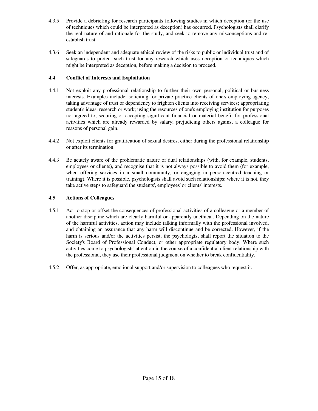- 4.3.5 Provide a debriefing for research participants following studies in which deception (or the use of techniques which could be interpreted as deception) has occurred. Psychologists shall clarify the real nature of and rationale for the study, and seek to remove any misconceptions and reestablish trust.
- 4.3.6 Seek an independent and adequate ethical review of the risks to public or individual trust and of safeguards to protect such trust for any research which uses deception or techniques which might be interpreted as deception, before making a decision to proceed.

# **4.4 Conflict of Interests and Exploitation**

- 4.4.1 Not exploit any professional relationship to further their own personal, political or business interests. Examples include: soliciting for private practice clients of one's employing agency; taking advantage of trust or dependency to frighten clients into receiving services; appropriating student's ideas, research or work; using the resources of one's employing institution for purposes not agreed to; securing or accepting significant financial or material benefit for professional activities which are already rewarded by salary; prejudicing others against a colleague for reasons of personal gain.
- 4.4.2 Not exploit clients for gratification of sexual desires, either during the professional relationship or after its termination.
- 4.4.3 Be acutely aware of the problematic nature of dual relationships (with, for example, students, employees or clients), and recognise that it is not always possible to avoid them (for example, when offering services in a small community, or engaging in person-centred teaching or training). Where it is possible, psychologists shall avoid such relationships; where it is not, they take active steps to safeguard the students', employees'or clients'interests.

# **4.5 Actions of Colleagues**

- 4.5.1 Act to stop or offset the consequences of professional activities of a colleague or a member of another discipline which are clearly harmful or apparently unethical. Depending on the nature of the harmful activities, action may include talking informally with the professional involved, and obtaining an assurance that any harm will discontinue and be corrected. However, if the harm is serious and/or the activities persist, the psychologist shall report the situation to the Society's Board of Professional Conduct, or other appropriate regulatory body. Where such activities come to psychologists'attention in the course of a confidential client relationship with the professional, they use their professional judgment on whether to break confidentiality.
- 4.5.2 Offer, as appropriate, emotional support and/or supervision to colleagues who request it.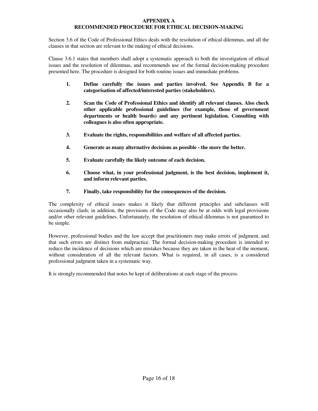#### **APPENDIX A RECOMMENDED PROCEDURE FOR ETHICAL DECISION-MAKING**

Section 3.6 of the Code of Professional Ethics deals with the resolution of ethical dilemmas, and all the clauses in that section are relevant to the making of ethical decisions.

Clause 3.6.1 states that members shall adopt a systematic approach to both the investigation of ethical issues and the resolution of dilemmas, and recommends use of the formal decision-making procedure presented here. The procedure is designed for both routine issues and immediate problems.

- **1. Define carefully the issues and parties involved. See Appendix B for a categorisation of affected/interested parties (stakeholders).**
- **2. Scan the Code of Professional Ethics and identify all relevant clauses. Also check other applicable professional guidelines (for example, those of government departments or health boards) and any pertinent legislation. Consulting with colleagues is also often appropriate.**
- **3. Evaluate the rights, responsibilities and welfare of all affected parties.**
- **4. Generate as many alternative decisions as possible - the more the better.**
- **5. Evaluate carefully the likely outcome of each decision.**
- **6. Choose what, in your professional judgment, is the best decision, implement it, and inform relevant parties.**

# **7. Finally, take responsibility for the consequences of the decision.**

The complexity of ethical issues makes it likely that different principles and subclauses will occasionally clash; in addition, the provisions of the Code may also be at odds with legal provisions and/or other relevant guidelines. Unfortunately, the resolution of ethical dilemmas is not guaranteed to be simple.

However, professional bodies and the law accept that practitioners may make errors of judgment, and that such errors are distinct from malpractice. The formal decision-making procedure is intended to reduce the incidence of decisions which are mistakes because they are taken in the heat of the moment, without consideration of all the relevant factors. What is required, in all cases, is a considered professional judgment taken in a systematic way.

It is strongly recommended that notes be kept of deliberations at each stage of the process.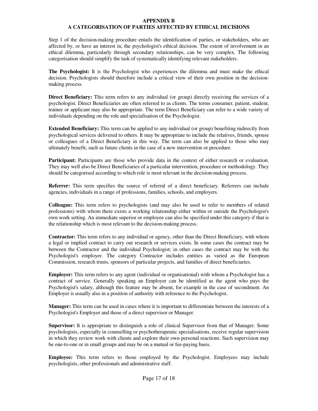#### **APPENDIX B**

# **A CATEGORISATION OF PARTIES AFFECTED BY ETHICAL DECISIONS**

Step 1 of the decision-making procedure entails the identification of parties, or stakeholders, who are affected by, or have an interest in, the psychologist's ethical decision. The extent of involvement in an ethical dilemma, particularly through secondary relationships, can be very complex. The following categorisation should simplify the task of systematically identifying relevant stakeholders.

**The Psychologist:** It is the Psychologist who experiences the dilemma and must make the ethical decision. Psychologists should therefore include a critical view of their own position in the decisionmaking process.

**Direct Beneficiary:** This term refers to any individual (or group) directly receiving the services of a psychologist. Direct Beneficiaries are often referred to as clients. The terms consumer, patient, student, trainee or applicant may also be appropriate. The term Direct Beneficiary can refer to a wide variety of individuals depending on the role and specialisation of the Psychologist.

**Extended Beneficiary:** This term can be applied to any individual (or group) benefiting indirectly from psychological services delivered to others. It may be appropriate to include the relatives, friends, spouse or colleagues of a Direct Beneficiary in this way. The term can also be applied to those who may ultimately benefit, such as future clients in the case of a new intervention or procedure.

**Participant:** Participants are those who provide data in the context of either research or evaluation. They may well also be Direct Beneficiaries of a particular intervention, procedure or methodology. They should be categorised according to which role is most relevant in the decision-making process.

**Referrer:** This term specifies the source of referral of a direct beneficiary. Referrers can include agencies, individuals in a range of professions, families, schools, and employers.

**Colleague:** This term refers to psychologists (and may also be used to refer to members of related professions) with whom there exists a working relationship either within or outside the Psychologist's own work setting. An immediate superior or employee can also be specified under this category if that is the relationship which is most relevant to the decision-making process.

**Contractor:** This term refers to any individual or agency, other than the Direct Beneficiary, with whom a legal or implied contract to carry out research or services exists. In some cases the contract may be between the Contractor and the individual Psychologist; in other cases the contract may be with the Psychologist's employer. The category Contractor includes entities as varied as the European Commission, research trusts, sponsors of particular projects, and families of direct beneficiaries.

**Employer:** This term refers to any agent (individual or organisational) with whom a Psychologist has a contract of service. Generally speaking an Employer can be identified as the agent who pays the Psychologist's salary, although this feature may be absent, for example in the case of secondment. An Employer is usually also in a position of authority with reference to the Psychologist.

**Manager:** This term can be used in cases where it is important to differentiate between the interests of a Psychologist's Employer and those of a direct supervisor or Manager.

**Supervisor:** It is appropriate to distinguish a role of clinical Supervisor from that of Manager. Some psychologists, especially in counselling or psychotherapeutic specialisations, receive regular supervision in which they review work with clients and explore their own personal reactions. Such supervision may be one-to-one or in small groups and may be on a mutual or fee-paying basis.

**Employee:** This term refers to those employed by the Psychologist. Employees may include psychologists, other professionals and administrative staff.